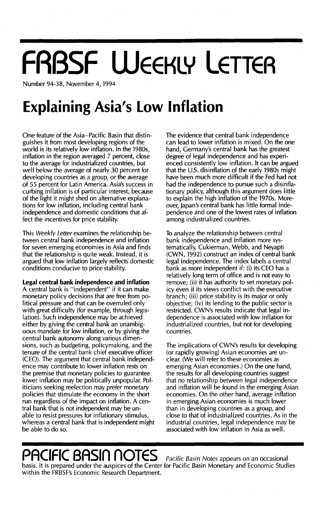# **FRBSF WEEKLY LETTER**

Number 94-38, November 4, 1994

## **Explaining Asia's Low Inflation**

One feature of the Asia-Pacific Basin that distinguishes it from most developing regions of the world is its relatively low inflation. In the 1980s, inflation in the region averaged 7 percent, close to the average for industrialized countries, but well below the average of nearly 30 percent for developing countries as a group, or the average of 55 percent for Latin America. Asia's success in curbing inflation is of particular interest, because of the light it might shed on alternative explanations for low inflation, including central bank independence and domestic conditions that affect the incentives for price stability.

This Weekly Letter examines the relationship between central bank independence and inflation for seven emerging economies in Asia and finds that the relationship is quite weak. Instead, it is argued that low inflation largely reflects domestic conditions conducive to price stability.

**Legal central bank independence and inflation** A central bank is "independent" if it can make monetary policy decisions that are free from political pressure and that can be overruled only with great difficulty (for example, through legislation). Such independence may be achieved either by giving the central bank an unambiguous mandate for low inflation, or by giving the central bank autonomy along various dimensions, such as budgeting, policymaking, and the tenure of the central bank chief executive officer (CEO). The argument that central bank independence may contribute to lower inflation rests on the premise that monetary policies to guarantee lower inflation may be politically unpopular. Politicians seeking reelection may prefer monetary policies that stimulate the economy in the short run regardless of the impact on inflation. A central bank that is not independent may be unable to resist pressures for inflationary stimulus, whereas a central bank that is independent might be able to do so.

The evidence that central bank independence can lead to lower inflation is mixed. On the one hand, Germany's central bank has the greatest degree of legal independence and has experienced consistently low inflation. It can be argued that the U.s. disinflation of the early 1980s might have been much more difficult if the Fed had not had the independence to pursue such a disinflationary policy, although this argument does little to explain the high inflation of the 1970s. Moreover, Japan's central bank has little formal independence and one of the lowest rates of inflation among industrialized countries.

To analvze the relationship between central bank independence and inflation more systematically, Cukierman, Webb, and Neyapti (CWN, 1992) construct an index of central bank legal independence. The index labels a central bank as more independent if: (i) its CEO has a relatively long term of office and is not easy to remove; (ii) it has authority to set monetary policy even if its views conflict with the executive branch; (iii) price stability is its major or only objective; (iv) its lending to the public sector is restricted. CWN's results indicate that legal independence is associated with low inflation for industrialized countries, but not for developing countries.

The implications of CWN's results for developing (or rapidly growing) Asian economies are unclear. (We will refer to these economies as emerging Asian economies.) On the one hand, the results for all developing countries suggest that no relationship between legal independence and inflation will be found in the emerging Asian economies. On the other hand, average inflation in emerging Asian economies is much lower than in developing countries as a group, and close to that of industrialized countries. As in the industrial countries, legal independence may be associated with low inflation in Asia as well.

## **PACIFIC BASin nOTES** Pacific Basin Notes appears on an occasional

basis. It is prepared under the auspices of the Center for Pacific Basin Monetary and Economic Studies within the FRBSF's Economic Research Department.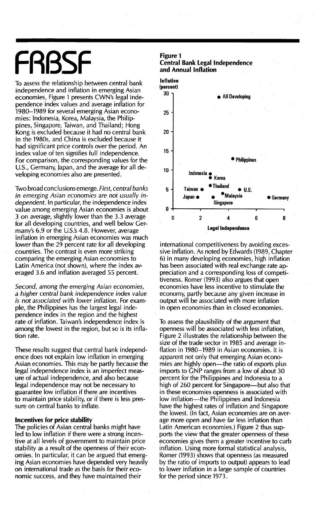## FRBSF Figure 1

To assess the relationship between central bank independence and inflation in emerging Asian economies, Figure 1 presents CWN's legal independence index values and average inflation for 1980-1989 for several emerging Asian economies: Indonesia, Korea, Malaysia, the Philippines, Singapore, Taiwan, and Thailand; Hong Kong is excluded because it had no central bank in the 1980s, and China is excluded because it had significant price controls over the period. An index value of ten signifies full independence. For comparison, the corresponding values for the U.S., Germany, Japan, and the average for all developing economies also are presented.

Two broad conclusions emerge. *First, central banks in emerging Asian economies are not usually independent.* In particular, the independence index value among emerging Asian economies is about 3 on average, slightly lower than the 3.3 average for all developing countries, and well below Germany's 6.9 or the U.S.'s 4.8. However, average inflation in emerging Asian economies was much lower than the 29 percent rate for all developing countries. The contrast is even more striking comparing the emerging Asian economies to Latin America (not shown), where the index averaged 3.6 and inflation averaged 55 percent.

*Second, among the emerging Asian economies,* a *higher central bank independence index value is not associated with lower inflation.* For example, the Philippines has the largest legal independence index in the region and the highest rate of inflation. Taiwan's independence index is among the lowest in the region, but so is its inflation rate.

These results suggest that central bank independence does not explain low inflation in emerging Asian economies. This may be partly because the legal independence index is an imperfect measure of actual independence, and also because legal independence may not be necessary to guarantee low inflation if there are incentives to maintain price stability, or if there is less pressure on central banks to inflate.

#### Incentives for price stability

The policies of Asian central banks might have led to low inflation if there were a strong incentive at all levels of government to maintain price stability as a result of the openness of their economies. In particular, it can be argued that emerging Asian economies have depended very heavily on international trade as the basis for their economic success, and they have maintained their





international competitiveness by avoiding excessive inflation. As noted by Edwards (1989, Chapter 6) in many developing economies, high inflation has been associated with real exchange rate appreciation and a corresponding loss of competitiveness. Romer (1993) also argues that open economies have less incentive to stimulate the economy, partly because any given increase in output will be associated with more inflation in open economies than in closed economies.

To assess the plausibility of the argument that openness will be associated with less inflation, Figure 2 illustrates the relationship between the size of the trade sector in 1985 and average inflation in 1980-1989 in Asian economies. It is apparent not only that emerging Asian economies are highly open-the ratio of exports plus imports to GNP ranges from a low of about 30 percent for the Philippines and Indonesia to a high of 260 percent for Singapore--but also that in these economies openness is associated with low inflation—the Philippines and Indonesia have the highest rates of inflation and Singapore the lowest. (In fact, Asian economies are on average more open and have far less inflation than Latin American economies.) Figure 2 thus supports the view that the greater openness of these economies gives them a greater incentive to curb inflation. Using more formal statistical analysis, Romer (1993) shows that openness (as measured by the ratio of imports to output) appears to lead to lower inflation in a large sample of countries for the period since 1973.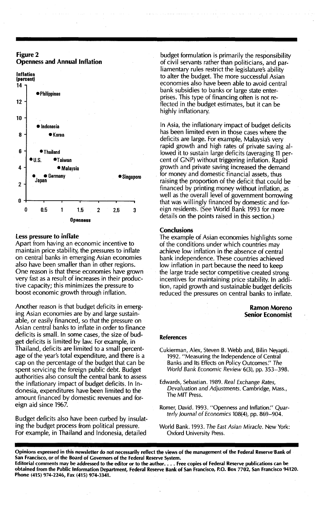### Figure 2 Openness and Annual Inflation



#### less pressure to inflate

Apart from having an economic incentive to maintain price stability, the pressures to inflate on central banks in emerging Asian economies also have been smaller than in other regions. One reason is that these economies have grown very fast as a result of increases in their productive capacity; this minimizes the pressure to boost economic growth through inflation.

Another reason is that budget deficits in emerging Asian economies are by and large sustainable, or easily financed, so that the pressure on Asian central banks to inflate in order to finance deficits is small. In some cases, the size of budget deficits is limited by law. For example, in Thailand, deficits are limited to a small percentage of the year's total expenditure, and there is a cap on the percentage of the budget that can be spent servicing the foreign public debt. Budget authorities also consult the central bank to assess the inflationary impact of budget deficits. In Indonesia, expenditures have been limited to the amount financed by domestic revenues and foreign aid since 1967.

Budget deficits also have been curbed by insulating the budget process from political pressure. For example, in Thailand and Indonesia, detailed

budget formulation is primarily the responsibility of civil servants rather than politicians, and parliamentary rules restrict the legislature's ability to alter the budget. The more successful Asian economies also have been able to avoid central bank subsidies to banks or large state enterprises. This type of financing often is not reflected in the budget estimates, but it can be highly inflationary.

in Asia, the inflationary impact of budget deficits has been limited even in those cases where the deficits are large. For example, Malaysia's very rapid growth and high rates of private saving allowed it to sustain large deficits (averaging <sup>11</sup> percent of GNP) without triggering inflation. Rapid growth and private saving increased the demand for money and domestic financial assets, thus raising the proportion of the deficit that could be financed by printing money without inflation, as well as the overall level of government borrowing that was willingly financed by domestic and foreign residents. (See World Bank 1993 for more details on the points raised in this section.)

#### **Conclusions**

The example of Asian economies highiights some of the conditions under which countries may achieve low inflation in the absence of central bank independence. These countries achieved low inflation in part because the need to keep the large trade sector competitive created strong incentives for maintaining price stability. In addition, rapid growth and sustainable budget deficits reduced the pressures on central banks to inflate.

#### Ramon Moreno Senior Economist

#### References

- Cukierman, Alex, Steven B. Webb and, Bilin Neyapti. 1992. "Measuring the Independence of Central Banks and Its Effects on Policy Outcomes:' *The World Bank Economic Review* 6(3), pp. 353-398.
- Edwards, Sebastian. 1989. *Real Exchange Rates, Devaluation and Adjustments.* Cambridge, Mass., The MIT Press.
- Romer, David. 1993. "Openness and Inflation:' *Quarterly Journal* of *Economics* 108(4), pp. 869-904.
- World Bank. 1993. *The East Asian Miracle.* New York: Oxford University Press.

Opinions expressed in this newsletter do not necessarily reflect the views of the management of the Federal Reserve'Bank of San Francisco, or of the Board of Governors of the Federal Reserve System. Editorial comments may be addressed to the editor or to the author.... Free copies of Federal Reserve publications can be obtained from the Public Information Department, Federal Reserve Bank of San Francisco, P.O. Box 7702, San Francisco 94120. Phone (415) 974-2246, Fax (415) 974-3341.